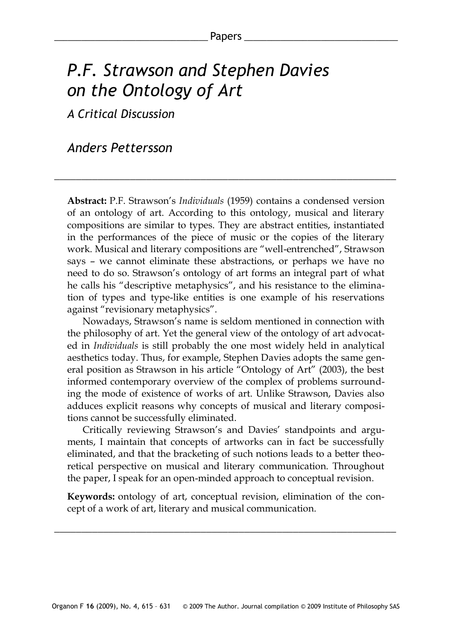# *P.F. Strawson and Stephen Davies on the Ontology of Art*

*A Critical Discussion*

## *Anders Pettersson*

**Abstract:** P.F. Strawson's *Individuals* (1959) contains a condensed version of an ontology of art. According to this ontology, musical and literary compositions are similar to types. They are abstract entities, instantiated in the performances of the piece of music or the copies of the literary work. Musical and literary compositions are "well-entrenched", Strawson says – we cannot eliminate these abstractions, or perhaps we have no need to do so. Strawson's ontology of art forms an integral part of what he calls his "descriptive metaphysics", and his resistance to the elimination of types and type-like entities is one example of his reservations against "revisionary metaphysics".

\_\_\_\_\_\_\_\_\_\_\_\_\_\_\_\_\_\_\_\_\_\_\_\_\_\_\_\_\_\_\_\_\_\_\_\_\_\_\_\_\_\_\_\_\_\_\_\_\_\_\_\_\_\_\_\_\_\_\_\_\_\_\_

Nowadays, Strawson's name is seldom mentioned in connection with the philosophy of art. Yet the general view of the ontology of art advocated in *Individuals* is still probably the one most widely held in analytical aesthetics today. Thus, for example, Stephen Davies adopts the same general position as Strawson in his article "Ontology of Art" (2003), the best informed contemporary overview of the complex of problems surrounding the mode of existence of works of art. Unlike Strawson, Davies also adduces explicit reasons why concepts of musical and literary compositions cannot be successfully eliminated.

Critically reviewing Strawson's and Davies' standpoints and arguments, I maintain that concepts of artworks can in fact be successfully eliminated, and that the bracketing of such notions leads to a better theoretical perspective on musical and literary communication. Throughout the paper, I speak for an open-minded approach to conceptual revision.

**Keywords:** ontology of art, conceptual revision, elimination of the concept of a work of art, literary and musical communication.

\_\_\_\_\_\_\_\_\_\_\_\_\_\_\_\_\_\_\_\_\_\_\_\_\_\_\_\_\_\_\_\_\_\_\_\_\_\_\_\_\_\_\_\_\_\_\_\_\_\_\_\_\_\_\_\_\_\_\_\_\_\_\_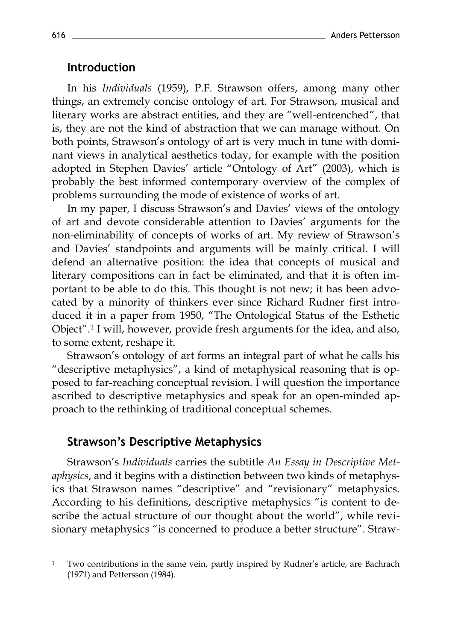#### **Introduction**

In his *Individuals* (1959), P.F. Strawson offers, among many other things, an extremely concise ontology of art. For Strawson, musical and literary works are abstract entities, and they are "well-entrenched", that is, they are not the kind of abstraction that we can manage without. On both points, Strawson's ontology of art is very much in tune with dominant views in analytical aesthetics today, for example with the position adopted in Stephen Davies' article "Ontology of Art" (2003), which is probably the best informed contemporary overview of the complex of problems surrounding the mode of existence of works of art.

In my paper, I discuss Strawson's and Davies' views of the ontology of art and devote considerable attention to Davies' arguments for the non-eliminability of concepts of works of art. My review of Strawson's and Davies' standpoints and arguments will be mainly critical. I will defend an alternative position: the idea that concepts of musical and literary compositions can in fact be eliminated, and that it is often important to be able to do this. This thought is not new; it has been advocated by a minority of thinkers ever since Richard Rudner first introduced it in a paper from 1950, "The Ontological Status of the Esthetic Object".<sup>1</sup> I will, however, provide fresh arguments for the idea, and also, to some extent, reshape it.

Strawson's ontology of art forms an integral part of what he calls his "descriptive metaphysics", a kind of metaphysical reasoning that is opposed to far-reaching conceptual revision. I will question the importance ascribed to descriptive metaphysics and speak for an open-minded approach to the rethinking of traditional conceptual schemes.

#### **Strawson's Descriptive Metaphysics**

Strawson's *Individuals* carries the subtitle *An Essay in Descriptive Metaphysics*, and it begins with a distinction between two kinds of metaphysics that Strawson names "descriptive" and "revisionary" metaphysics. According to his definitions, descriptive metaphysics "is content to describe the actual structure of our thought about the world", while revisionary metaphysics "is concerned to produce a better structure". Straw-

<sup>1</sup> Two contributions in the same vein, partly inspired by Rudner's article, are Bachrach (1971) and Pettersson (1984).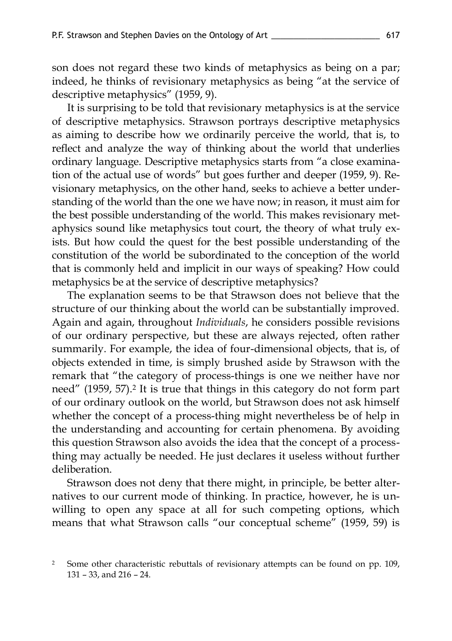son does not regard these two kinds of metaphysics as being on a par; indeed, he thinks of revisionary metaphysics as being "at the service of descriptive metaphysics" (1959, 9).

It is surprising to be told that revisionary metaphysics is at the service of descriptive metaphysics. Strawson portrays descriptive metaphysics as aiming to describe how we ordinarily perceive the world, that is, to reflect and analyze the way of thinking about the world that underlies ordinary language. Descriptive metaphysics starts from "a close examination of the actual use of words" but goes further and deeper (1959, 9). Revisionary metaphysics, on the other hand, seeks to achieve a better understanding of the world than the one we have now; in reason, it must aim for the best possible understanding of the world. This makes revisionary metaphysics sound like metaphysics tout court, the theory of what truly exists. But how could the quest for the best possible understanding of the constitution of the world be subordinated to the conception of the world that is commonly held and implicit in our ways of speaking? How could metaphysics be at the service of descriptive metaphysics?

The explanation seems to be that Strawson does not believe that the structure of our thinking about the world can be substantially improved. Again and again, throughout *Individuals*, he considers possible revisions of our ordinary perspective, but these are always rejected, often rather summarily. For example, the idea of four-dimensional objects, that is, of objects extended in time, is simply brushed aside by Strawson with the remark that "the category of process-things is one we neither have nor need" (1959, 57).<sup>2</sup> It is true that things in this category do not form part of our ordinary outlook on the world, but Strawson does not ask himself whether the concept of a process-thing might nevertheless be of help in the understanding and accounting for certain phenomena. By avoiding this question Strawson also avoids the idea that the concept of a processthing may actually be needed. He just declares it useless without further deliberation.

Strawson does not deny that there might, in principle, be better alternatives to our current mode of thinking. In practice, however, he is unwilling to open any space at all for such competing options, which means that what Strawson calls "our conceptual scheme" (1959, 59) is

<sup>2</sup> Some other characteristic rebuttals of revisionary attempts can be found on pp. 109, 131 – 33, and 216 – 24.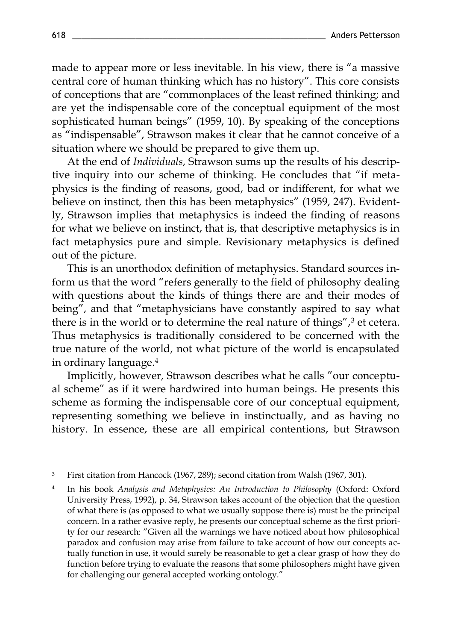made to appear more or less inevitable. In his view, there is "a massive central core of human thinking which has no history". This core consists of conceptions that are "commonplaces of the least refined thinking; and are yet the indispensable core of the conceptual equipment of the most sophisticated human beings" (1959, 10). By speaking of the conceptions as "indispensable", Strawson makes it clear that he cannot conceive of a situation where we should be prepared to give them up.

At the end of *Individuals*, Strawson sums up the results of his descriptive inquiry into our scheme of thinking. He concludes that "if metaphysics is the finding of reasons, good, bad or indifferent, for what we believe on instinct, then this has been metaphysics" (1959, 247). Evidently, Strawson implies that metaphysics is indeed the finding of reasons for what we believe on instinct, that is, that descriptive metaphysics is in fact metaphysics pure and simple. Revisionary metaphysics is defined out of the picture.

This is an unorthodox definition of metaphysics. Standard sources inform us that the word "refers generally to the field of philosophy dealing with questions about the kinds of things there are and their modes of being", and that "metaphysicians have constantly aspired to say what there is in the world or to determine the real nature of things",<sup>3</sup> et cetera. Thus metaphysics is traditionally considered to be concerned with the true nature of the world, not what picture of the world is encapsulated in ordinary language.<sup>4</sup>

Implicitly, however, Strawson describes what he calls "our conceptual scheme" as if it were hardwired into human beings. He presents this scheme as forming the indispensable core of our conceptual equipment, representing something we believe in instinctually, and as having no history. In essence, these are all empirical contentions, but Strawson

<sup>3</sup> First citation from Hancock (1967, 289); second citation from Walsh (1967, 301).

4 In his book *Analysis and Metaphysics: An Introduction to Philosophy* (Oxford: Oxford University Press, 1992), p. 34, Strawson takes account of the objection that the question of what there is (as opposed to what we usually suppose there is) must be the principal concern. In a rather evasive reply, he presents our conceptual scheme as the first priority for our research: "Given all the warnings we have noticed about how philosophical paradox and confusion may arise from failure to take account of how our concepts actually function in use, it would surely be reasonable to get a clear grasp of how they do function before trying to evaluate the reasons that some philosophers might have given for challenging our general accepted working ontology."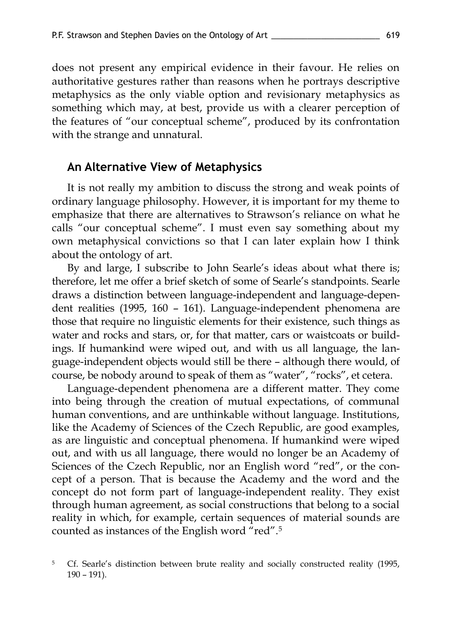does not present any empirical evidence in their favour. He relies on authoritative gestures rather than reasons when he portrays descriptive metaphysics as the only viable option and revisionary metaphysics as something which may, at best, provide us with a clearer perception of the features of "our conceptual scheme", produced by its confrontation with the strange and unnatural.

#### **An Alternative View of Metaphysics**

It is not really my ambition to discuss the strong and weak points of ordinary language philosophy. However, it is important for my theme to emphasize that there are alternatives to Strawson's reliance on what he calls "our conceptual scheme". I must even say something about my own metaphysical convictions so that I can later explain how I think about the ontology of art.

By and large, I subscribe to John Searle's ideas about what there is; therefore, let me offer a brief sketch of some of Searle's standpoints. Searle draws a distinction between language-independent and language-dependent realities (1995, 160 – 161). Language-independent phenomena are those that require no linguistic elements for their existence, such things as water and rocks and stars, or, for that matter, cars or waistcoats or buildings. If humankind were wiped out, and with us all language, the language-independent objects would still be there – although there would, of course, be nobody around to speak of them as "water", "rocks", et cetera.

Language-dependent phenomena are a different matter. They come into being through the creation of mutual expectations, of communal human conventions, and are unthinkable without language. Institutions, like the Academy of Sciences of the Czech Republic, are good examples, as are linguistic and conceptual phenomena. If humankind were wiped out, and with us all language, there would no longer be an Academy of Sciences of the Czech Republic, nor an English word "red", or the concept of a person. That is because the Academy and the word and the concept do not form part of language-independent reality. They exist through human agreement, as social constructions that belong to a social reality in which, for example, certain sequences of material sounds are counted as instances of the English word "red".<sup>5</sup>

<sup>&</sup>lt;sup>5</sup> Cf. Searle's distinction between brute reality and socially constructed reality (1995, 190 – 191).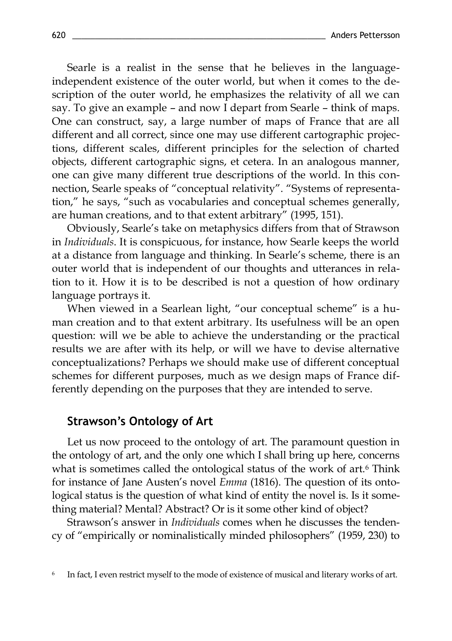Searle is a realist in the sense that he believes in the languageindependent existence of the outer world, but when it comes to the description of the outer world, he emphasizes the relativity of all we can say. To give an example – and now I depart from Searle – think of maps. One can construct, say, a large number of maps of France that are all different and all correct, since one may use different cartographic projections, different scales, different principles for the selection of charted objects, different cartographic signs, et cetera. In an analogous manner, one can give many different true descriptions of the world. In this connection, Searle speaks of "conceptual relativity". "Systems of representation," he says, "such as vocabularies and conceptual schemes generally, are human creations, and to that extent arbitrary" (1995, 151).

Obviously, Searle's take on metaphysics differs from that of Strawson in *Individuals*. It is conspicuous, for instance, how Searle keeps the world at a distance from language and thinking. In Searle's scheme, there is an outer world that is independent of our thoughts and utterances in relation to it. How it is to be described is not a question of how ordinary language portrays it.

When viewed in a Searlean light, "our conceptual scheme" is a human creation and to that extent arbitrary. Its usefulness will be an open question: will we be able to achieve the understanding or the practical results we are after with its help, or will we have to devise alternative conceptualizations? Perhaps we should make use of different conceptual schemes for different purposes, much as we design maps of France differently depending on the purposes that they are intended to serve.

#### **Strawson's Ontology of Art**

Let us now proceed to the ontology of art. The paramount question in the ontology of art, and the only one which I shall bring up here, concerns what is sometimes called the ontological status of the work of art.<sup>6</sup> Think for instance of Jane Austen's novel *Emma* (1816). The question of its ontological status is the question of what kind of entity the novel is. Is it something material? Mental? Abstract? Or is it some other kind of object?

Strawson's answer in *Individuals* comes when he discusses the tendency of "empirically or nominalistically minded philosophers" (1959, 230) to

<sup>6</sup> In fact, I even restrict myself to the mode of existence of musical and literary works of art.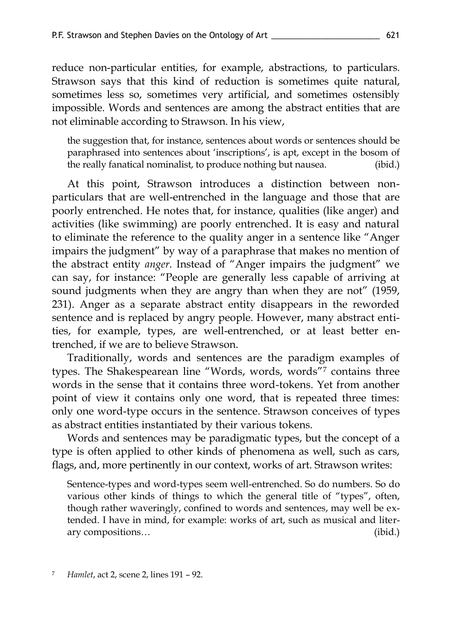reduce non-particular entities, for example, abstractions, to particulars. Strawson says that this kind of reduction is sometimes quite natural, sometimes less so, sometimes very artificial, and sometimes ostensibly impossible. Words and sentences are among the abstract entities that are not eliminable according to Strawson. In his view,

the suggestion that, for instance, sentences about words or sentences should be paraphrased into sentences about 'inscriptions', is apt, except in the bosom of the really fanatical nominalist, to produce nothing but nausea. (ibid.)

At this point, Strawson introduces a distinction between nonparticulars that are well-entrenched in the language and those that are poorly entrenched. He notes that, for instance, qualities (like anger) and activities (like swimming) are poorly entrenched. It is easy and natural to eliminate the reference to the quality anger in a sentence like "Anger impairs the judgment" by way of a paraphrase that makes no mention of the abstract entity *anger*. Instead of "Anger impairs the judgment" we can say, for instance: "People are generally less capable of arriving at sound judgments when they are angry than when they are not" (1959, 231). Anger as a separate abstract entity disappears in the reworded sentence and is replaced by angry people. However, many abstract entities, for example, types, are well-entrenched, or at least better entrenched, if we are to believe Strawson.

Traditionally, words and sentences are the paradigm examples of types. The Shakespearean line "Words, words, words"7 contains three words in the sense that it contains three word-tokens. Yet from another point of view it contains only one word, that is repeated three times: only one word-type occurs in the sentence. Strawson conceives of types as abstract entities instantiated by their various tokens.

Words and sentences may be paradigmatic types, but the concept of a type is often applied to other kinds of phenomena as well, such as cars, flags, and, more pertinently in our context, works of art. Strawson writes:

Sentence-types and word-types seem well-entrenched. So do numbers. So do various other kinds of things to which the general title of "types", often, though rather waveringly, confined to words and sentences, may well be extended. I have in mind, for example: works of art, such as musical and literary compositions… (ibid.)

<sup>7</sup> *Hamlet*, act 2, scene 2, lines 191 – 92.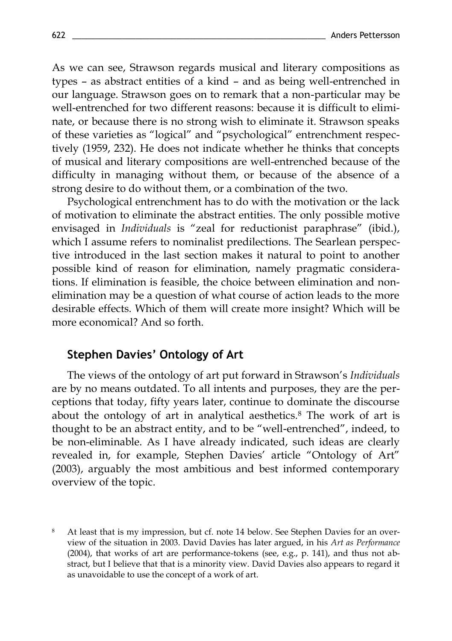As we can see, Strawson regards musical and literary compositions as types – as abstract entities of a kind – and as being well-entrenched in our language. Strawson goes on to remark that a non-particular may be well-entrenched for two different reasons: because it is difficult to eliminate, or because there is no strong wish to eliminate it. Strawson speaks of these varieties as "logical" and "psychological" entrenchment respectively (1959, 232). He does not indicate whether he thinks that concepts of musical and literary compositions are well-entrenched because of the difficulty in managing without them, or because of the absence of a strong desire to do without them, or a combination of the two.

Psychological entrenchment has to do with the motivation or the lack of motivation to eliminate the abstract entities. The only possible motive envisaged in *Individuals* is "zeal for reductionist paraphrase" (ibid.), which I assume refers to nominalist predilections. The Searlean perspective introduced in the last section makes it natural to point to another possible kind of reason for elimination, namely pragmatic considerations. If elimination is feasible, the choice between elimination and nonelimination may be a question of what course of action leads to the more desirable effects. Which of them will create more insight? Which will be more economical? And so forth.

## **Stephen Davies' Ontology of Art**

The views of the ontology of art put forward in Strawson's *Individuals* are by no means outdated. To all intents and purposes, they are the perceptions that today, fifty years later, continue to dominate the discourse about the ontology of art in analytical aesthetics.<sup>8</sup> The work of art is thought to be an abstract entity, and to be "well-entrenched", indeed, to be non-eliminable. As I have already indicated, such ideas are clearly revealed in, for example, Stephen Davies' article "Ontology of Art" (2003), arguably the most ambitious and best informed contemporary overview of the topic.

<sup>8</sup> At least that is my impression, but cf. note 14 below. See Stephen Davies for an overview of the situation in 2003. David Davies has later argued, in his *Art as Performance*  (2004), that works of art are performance-tokens (see, e.g., p. 141), and thus not abstract, but I believe that that is a minority view. David Davies also appears to regard it as unavoidable to use the concept of a work of art.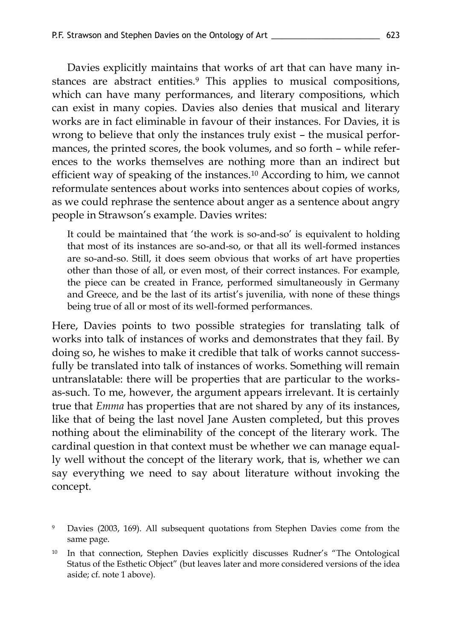Davies explicitly maintains that works of art that can have many instances are abstract entities.<sup>9</sup> This applies to musical compositions, which can have many performances, and literary compositions, which can exist in many copies. Davies also denies that musical and literary works are in fact eliminable in favour of their instances. For Davies, it is wrong to believe that only the instances truly exist – the musical performances, the printed scores, the book volumes, and so forth – while references to the works themselves are nothing more than an indirect but efficient way of speaking of the instances.<sup>10</sup> According to him, we cannot reformulate sentences about works into sentences about copies of works, as we could rephrase the sentence about anger as a sentence about angry people in Strawson's example. Davies writes:

It could be maintained that 'the work is so-and-so' is equivalent to holding that most of its instances are so-and-so, or that all its well-formed instances are so-and-so. Still, it does seem obvious that works of art have properties other than those of all, or even most, of their correct instances. For example, the piece can be created in France, performed simultaneously in Germany and Greece, and be the last of its artist's juvenilia, with none of these things being true of all or most of its well-formed performances.

Here, Davies points to two possible strategies for translating talk of works into talk of instances of works and demonstrates that they fail. By doing so, he wishes to make it credible that talk of works cannot successfully be translated into talk of instances of works. Something will remain untranslatable: there will be properties that are particular to the worksas-such. To me, however, the argument appears irrelevant. It is certainly true that *Emma* has properties that are not shared by any of its instances, like that of being the last novel Jane Austen completed, but this proves nothing about the eliminability of the concept of the literary work. The cardinal question in that context must be whether we can manage equally well without the concept of the literary work, that is, whether we can say everything we need to say about literature without invoking the concept.

Davies (2003, 169). All subsequent quotations from Stephen Davies come from the same page.

<sup>&</sup>lt;sup>10</sup> In that connection, Stephen Davies explicitly discusses Rudner's "The Ontological Status of the Esthetic Object" (but leaves later and more considered versions of the idea aside; cf. note 1 above).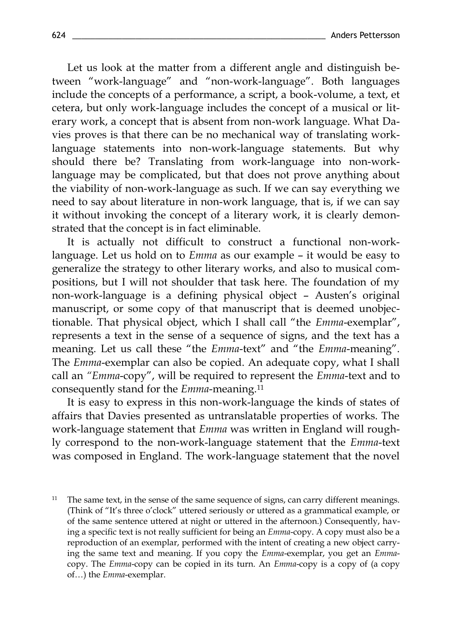Let us look at the matter from a different angle and distinguish between "work-language" and "non-work-language". Both languages include the concepts of a performance, a script, a book-volume, a text, et cetera, but only work-language includes the concept of a musical or literary work, a concept that is absent from non-work language. What Davies proves is that there can be no mechanical way of translating worklanguage statements into non-work-language statements. But why should there be? Translating from work-language into non-worklanguage may be complicated, but that does not prove anything about the viability of non-work-language as such. If we can say everything we need to say about literature in non-work language, that is, if we can say it without invoking the concept of a literary work, it is clearly demonstrated that the concept is in fact eliminable.

It is actually not difficult to construct a functional non-worklanguage. Let us hold on to *Emma* as our example – it would be easy to generalize the strategy to other literary works, and also to musical compositions, but I will not shoulder that task here. The foundation of my non-work-language is a defining physical object – Austen's original manuscript, or some copy of that manuscript that is deemed unobjectionable. That physical object, which I shall call "the *Emma*-exemplar", represents a text in the sense of a sequence of signs, and the text has a meaning. Let us call these "the *Emma*-text" and "the *Emma*-meaning". The *Emma*-exemplar can also be copied. An adequate copy, what I shall call an *"Emma*-copy", will be required to represent the *Emma*-text and to consequently stand for the *Emma*-meaning.<sup>11</sup>

It is easy to express in this non-work-language the kinds of states of affairs that Davies presented as untranslatable properties of works. The work-language statement that *Emma* was written in England will roughly correspond to the non-work-language statement that the *Emma*-text was composed in England. The work-language statement that the novel

<sup>11</sup> The same text, in the sense of the same sequence of signs, can carry different meanings. (Think of "It's three o'clock" uttered seriously or uttered as a grammatical example, or of the same sentence uttered at night or uttered in the afternoon.) Consequently, having a specific text is not really sufficient for being an *Emma*-copy. A copy must also be a reproduction of an exemplar, performed with the intent of creating a new object carrying the same text and meaning. If you copy the *Emma*-exemplar, you get an *Emma*copy. The *Emma*-copy can be copied in its turn. An *Emma*-copy is a copy of (a copy of…) the *Emma*-exemplar.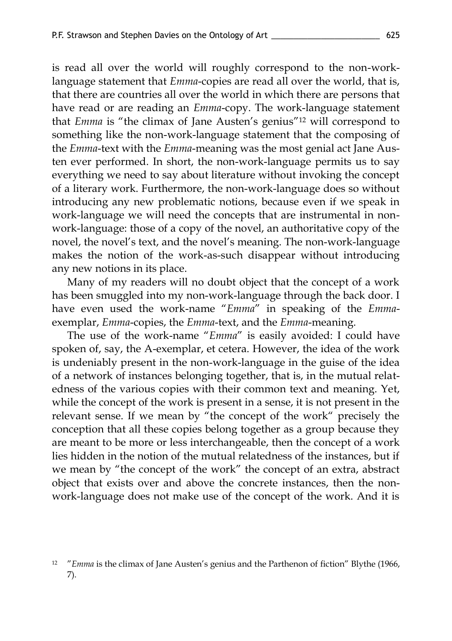is read all over the world will roughly correspond to the non-worklanguage statement that *Emma*-copies are read all over the world, that is, that there are countries all over the world in which there are persons that have read or are reading an *Emma*-copy. The work-language statement that *Emma* is "the climax of Jane Austen's genius"<sup>12</sup> will correspond to something like the non-work-language statement that the composing of the *Emma*-text with the *Emma*-meaning was the most genial act Jane Austen ever performed. In short, the non-work-language permits us to say everything we need to say about literature without invoking the concept of a literary work. Furthermore, the non-work-language does so without introducing any new problematic notions, because even if we speak in work-language we will need the concepts that are instrumental in nonwork-language: those of a copy of the novel, an authoritative copy of the novel, the novel's text, and the novel's meaning. The non-work-language makes the notion of the work-as-such disappear without introducing any new notions in its place.

Many of my readers will no doubt object that the concept of a work has been smuggled into my non-work-language through the back door. I have even used the work-name "*Emma*" in speaking of the *Emma*exemplar, *Emma*-copies, the *Emma*-text, and the *Emma*-meaning.

The use of the work-name "*Emma*" is easily avoided: I could have spoken of, say, the A-exemplar, et cetera. However, the idea of the work is undeniably present in the non-work-language in the guise of the idea of a network of instances belonging together, that is, in the mutual relatedness of the various copies with their common text and meaning. Yet, while the concept of the work is present in a sense, it is not present in the relevant sense. If we mean by "the concept of the work" precisely the conception that all these copies belong together as a group because they are meant to be more or less interchangeable, then the concept of a work lies hidden in the notion of the mutual relatedness of the instances, but if we mean by "the concept of the work" the concept of an extra, abstract object that exists over and above the concrete instances, then the nonwork-language does not make use of the concept of the work. And it is

<sup>&</sup>lt;sup>12</sup> "*Emma* is the climax of Jane Austen's genius and the Parthenon of fiction" Blythe (1966, 7).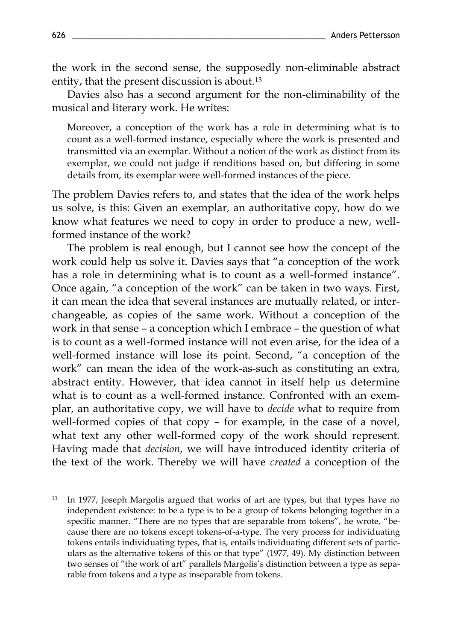the work in the second sense, the supposedly non-eliminable abstract entity, that the present discussion is about.<sup>13</sup>

Davies also has a second argument for the non-eliminability of the musical and literary work. He writes:

Moreover, a conception of the work has a role in determining what is to count as a well-formed instance, especially where the work is presented and transmitted via an exemplar. Without a notion of the work as distinct from its exemplar, we could not judge if renditions based on, but differing in some details from, its exemplar were well-formed instances of the piece.

The problem Davies refers to, and states that the idea of the work helps us solve, is this: Given an exemplar, an authoritative copy, how do we know what features we need to copy in order to produce a new, wellformed instance of the work?

The problem is real enough, but I cannot see how the concept of the work could help us solve it. Davies says that "a conception of the work has a role in determining what is to count as a well-formed instance". Once again, "a conception of the work" can be taken in two ways. First, it can mean the idea that several instances are mutually related, or interchangeable, as copies of the same work. Without a conception of the work in that sense – a conception which I embrace – the question of what is to count as a well-formed instance will not even arise, for the idea of a well-formed instance will lose its point. Second, "a conception of the work" can mean the idea of the work-as-such as constituting an extra, abstract entity. However, that idea cannot in itself help us determine what is to count as a well-formed instance. Confronted with an exemplar, an authoritative copy, we will have to *decide* what to require from well-formed copies of that copy – for example, in the case of a novel, what text any other well-formed copy of the work should represent. Having made that *decision*, we will have introduced identity criteria of the text of the work. Thereby we will have *created* a conception of the

<sup>13</sup> In 1977, Joseph Margolis argued that works of art are types, but that types have no independent existence: to be a type is to be a group of tokens belonging together in a specific manner. "There are no types that are separable from tokens", he wrote, "because there are no tokens except tokens-of-a-type. The very process for individuating tokens entails individuating types, that is, entails individuating different sets of particulars as the alternative tokens of this or that type" (1977, 49). My distinction between two senses of "the work of art" parallels Margolis's distinction between a type as separable from tokens and a type as inseparable from tokens.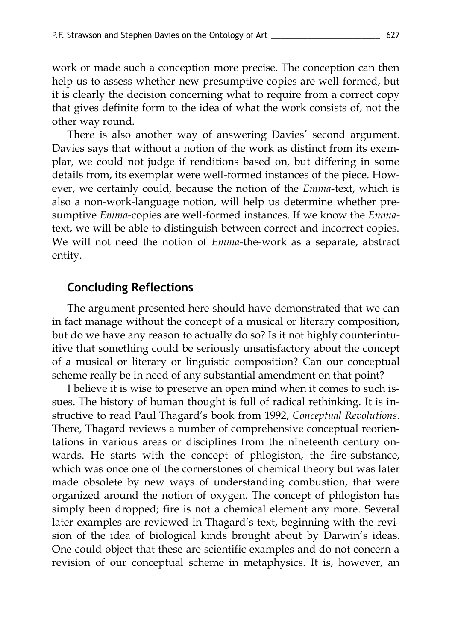work or made such a conception more precise. The conception can then help us to assess whether new presumptive copies are well-formed, but it is clearly the decision concerning what to require from a correct copy that gives definite form to the idea of what the work consists of, not the other way round.

There is also another way of answering Davies' second argument. Davies says that without a notion of the work as distinct from its exemplar, we could not judge if renditions based on, but differing in some details from, its exemplar were well-formed instances of the piece. However, we certainly could, because the notion of the *Emma*-text, which is also a non-work-language notion, will help us determine whether presumptive *Emma*-copies are well-formed instances. If we know the *Emma*text, we will be able to distinguish between correct and incorrect copies. We will not need the notion of *Emma*-the-work as a separate, abstract entity.

#### **Concluding Reflections**

The argument presented here should have demonstrated that we can in fact manage without the concept of a musical or literary composition, but do we have any reason to actually do so? Is it not highly counterintuitive that something could be seriously unsatisfactory about the concept of a musical or literary or linguistic composition? Can our conceptual scheme really be in need of any substantial amendment on that point?

I believe it is wise to preserve an open mind when it comes to such issues. The history of human thought is full of radical rethinking. It is instructive to read Paul Thagard's book from 1992, *Conceptual Revolutions*. There, Thagard reviews a number of comprehensive conceptual reorientations in various areas or disciplines from the nineteenth century onwards. He starts with the concept of phlogiston, the fire-substance, which was once one of the cornerstones of chemical theory but was later made obsolete by new ways of understanding combustion, that were organized around the notion of oxygen. The concept of phlogiston has simply been dropped; fire is not a chemical element any more. Several later examples are reviewed in Thagard's text, beginning with the revision of the idea of biological kinds brought about by Darwin's ideas. One could object that these are scientific examples and do not concern a revision of our conceptual scheme in metaphysics. It is, however, an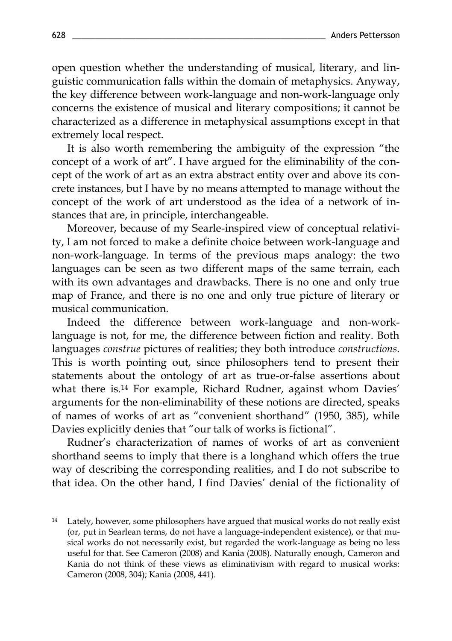open question whether the understanding of musical, literary, and linguistic communication falls within the domain of metaphysics. Anyway, the key difference between work-language and non-work-language only concerns the existence of musical and literary compositions; it cannot be characterized as a difference in metaphysical assumptions except in that extremely local respect.

It is also worth remembering the ambiguity of the expression "the concept of a work of art". I have argued for the eliminability of the concept of the work of art as an extra abstract entity over and above its concrete instances, but I have by no means attempted to manage without the concept of the work of art understood as the idea of a network of instances that are, in principle, interchangeable.

Moreover, because of my Searle-inspired view of conceptual relativity, I am not forced to make a definite choice between work-language and non-work-language. In terms of the previous maps analogy: the two languages can be seen as two different maps of the same terrain, each with its own advantages and drawbacks. There is no one and only true map of France, and there is no one and only true picture of literary or musical communication.

Indeed the difference between work-language and non-worklanguage is not, for me, the difference between fiction and reality. Both languages *construe* pictures of realities; they both introduce *constructions*. This is worth pointing out, since philosophers tend to present their statements about the ontology of art as true-or-false assertions about what there is.<sup>14</sup> For example, Richard Rudner, against whom Davies' arguments for the non-eliminability of these notions are directed, speaks of names of works of art as "convenient shorthand" (1950, 385), while Davies explicitly denies that "our talk of works is fictional".

Rudner's characterization of names of works of art as convenient shorthand seems to imply that there is a longhand which offers the true way of describing the corresponding realities, and I do not subscribe to that idea. On the other hand, I find Davies' denial of the fictionality of

<sup>&</sup>lt;sup>14</sup> Lately, however, some philosophers have argued that musical works do not really exist (or, put in Searlean terms, do not have a language-independent existence), or that musical works do not necessarily exist, but regarded the work-language as being no less useful for that. See Cameron (2008) and Kania (2008). Naturally enough, Cameron and Kania do not think of these views as eliminativism with regard to musical works: Cameron (2008, 304); Kania (2008, 441).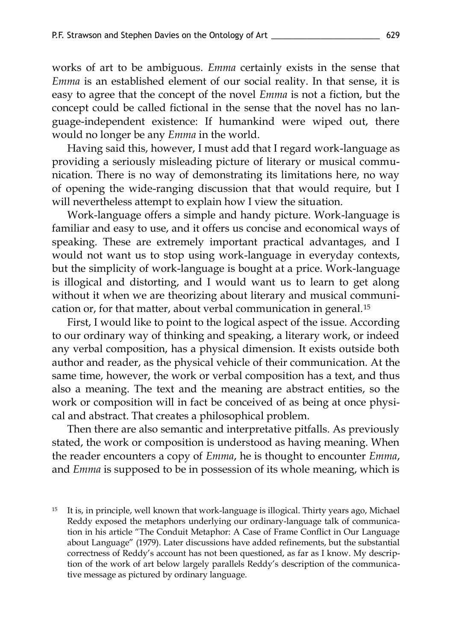works of art to be ambiguous. *Emma* certainly exists in the sense that *Emma* is an established element of our social reality. In that sense, it is easy to agree that the concept of the novel *Emma* is not a fiction, but the concept could be called fictional in the sense that the novel has no language-independent existence: If humankind were wiped out, there would no longer be any *Emma* in the world.

Having said this, however, I must add that I regard work-language as providing a seriously misleading picture of literary or musical communication. There is no way of demonstrating its limitations here, no way of opening the wide-ranging discussion that that would require, but I will nevertheless attempt to explain how I view the situation.

Work-language offers a simple and handy picture. Work-language is familiar and easy to use, and it offers us concise and economical ways of speaking. These are extremely important practical advantages, and I would not want us to stop using work-language in everyday contexts, but the simplicity of work-language is bought at a price. Work-language is illogical and distorting, and I would want us to learn to get along without it when we are theorizing about literary and musical communication or, for that matter, about verbal communication in general.<sup>15</sup>

First, I would like to point to the logical aspect of the issue. According to our ordinary way of thinking and speaking, a literary work, or indeed any verbal composition, has a physical dimension. It exists outside both author and reader, as the physical vehicle of their communication. At the same time, however, the work or verbal composition has a text, and thus also a meaning. The text and the meaning are abstract entities, so the work or composition will in fact be conceived of as being at once physical and abstract. That creates a philosophical problem.

Then there are also semantic and interpretative pitfalls. As previously stated, the work or composition is understood as having meaning. When the reader encounters a copy of *Emma*, he is thought to encounter *Emma*, and *Emma* is supposed to be in possession of its whole meaning, which is

<sup>15</sup> It is, in principle, well known that work-language is illogical. Thirty years ago, Michael Reddy exposed the metaphors underlying our ordinary-language talk of communication in his article "The Conduit Metaphor: A Case of Frame Conflict in Our Language about Language" (1979). Later discussions have added refinements, but the substantial correctness of Reddy's account has not been questioned, as far as I know. My description of the work of art below largely parallels Reddy's description of the communicative message as pictured by ordinary language.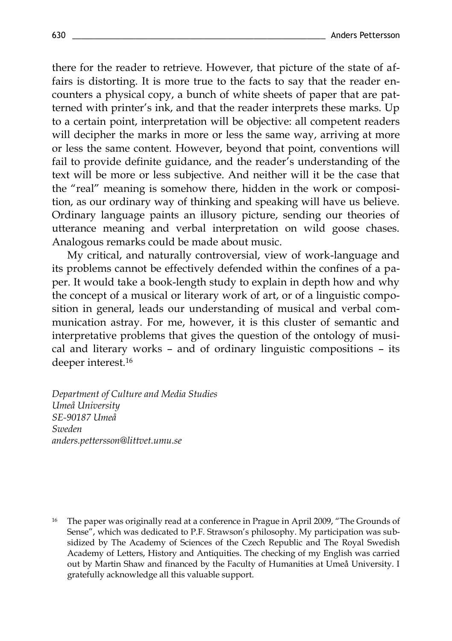there for the reader to retrieve. However, that picture of the state of affairs is distorting. It is more true to the facts to say that the reader encounters a physical copy, a bunch of white sheets of paper that are patterned with printer's ink, and that the reader interprets these marks. Up to a certain point, interpretation will be objective: all competent readers will decipher the marks in more or less the same way, arriving at more or less the same content. However, beyond that point, conventions will fail to provide definite guidance, and the reader's understanding of the text will be more or less subjective. And neither will it be the case that the "real" meaning is somehow there, hidden in the work or composition, as our ordinary way of thinking and speaking will have us believe. Ordinary language paints an illusory picture, sending our theories of utterance meaning and verbal interpretation on wild goose chases. Analogous remarks could be made about music.

My critical, and naturally controversial, view of work-language and its problems cannot be effectively defended within the confines of a paper. It would take a book-length study to explain in depth how and why the concept of a musical or literary work of art, or of a linguistic composition in general, leads our understanding of musical and verbal communication astray. For me, however, it is this cluster of semantic and interpretative problems that gives the question of the ontology of musical and literary works – and of ordinary linguistic compositions – its deeper interest.<sup>16</sup>

*Department of Culture and Media Studies Umeå University SE-90187 Umeå Sweden anders.pettersson@littvet.umu.se*

<sup>16</sup> The paper was originally read at a conference in Prague in April 2009, "The Grounds of Sense", which was dedicated to P.F. Strawson's philosophy. My participation was subsidized by The Academy of Sciences of the Czech Republic and The Royal Swedish Academy of Letters, History and Antiquities. The checking of my English was carried out by Martin Shaw and financed by the Faculty of Humanities at Umeå University. I gratefully acknowledge all this valuable support.